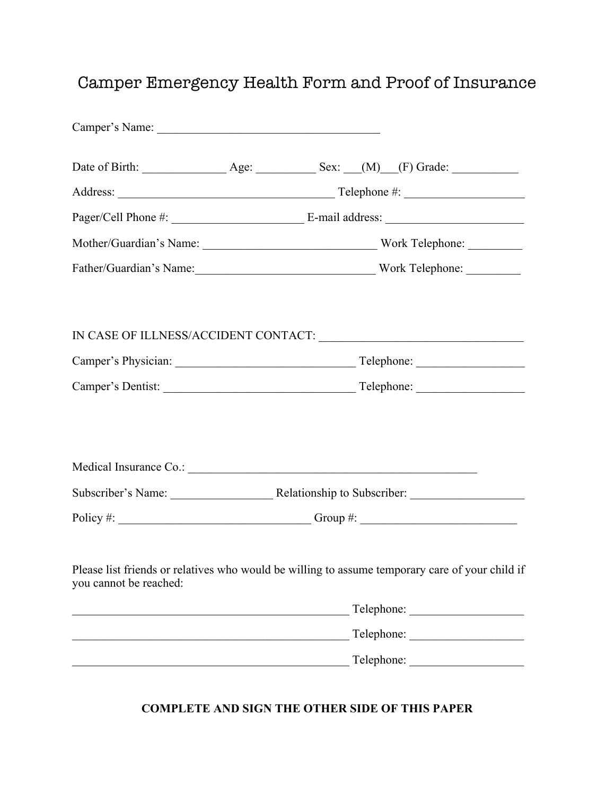## Camper Emergency Health Form and Proof of Insurance

|                        | Policy #: $\_\_\_\_\_\_\_\_\_\_\_\_$                                                                                 |
|------------------------|----------------------------------------------------------------------------------------------------------------------|
| you cannot be reached: | Please list friends or relatives who would be willing to assume temporary care of your child if                      |
|                        | <u> 1989 - Johann Stein, mars an deutscher Stein und der Stein und der Stein und der Stein und der Stein und der</u> |
|                        |                                                                                                                      |
|                        |                                                                                                                      |

## **COMPLETE AND SIGN THE OTHER SIDE OF THIS PAPER**